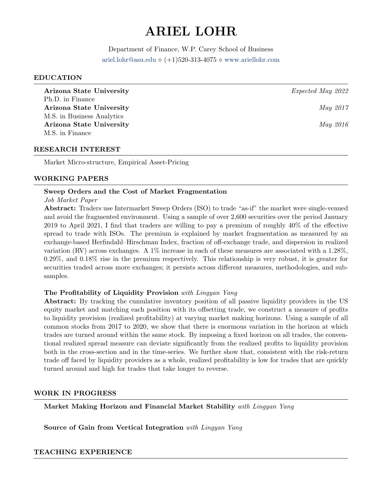# ARIEL LOHR

Department of Finance, W.P. Carey School of Business [ariel.lohr@asu.edu](mailto:ariel.lohr@asu.edu)  $\diamond$  (+1)520-313-4075  $\diamond$  <www.ariellohr.com>

#### EDUCATION

Arizona State University **Expected May 2022** Ph.D. in Finance Arizona State University and the set of the set of the May 2017 M.S. in Business Analytics Arizona State University and the set of the set of the May 2016 M.S. in Finance

### RESEARCH INTEREST

Market Micro-structure, Empirical Asset-Pricing

#### WORKING PAPERS

## Sweep Orders and the Cost of Market Fragmentation

#### Job Market Paper

Abstract: Traders use Intermarket Sweep Orders (ISO) to trade "as-if" the market were single-venued and avoid the fragmented environment. Using a sample of over 2,600 securities over the period January 2019 to April 2021, I find that traders are willing to pay a premium of roughly 40% of the effective spread to trade with ISOs. The premium is explained by market fragmentation as measured by an exchange-based Herfindahl–Hirschman Index, fraction of off-exchange trade, and dispersion in realized variation (RV) across exchanges. A 1% increase in each of these measures are associated with a 1.28%, 0.29%, and 0.18% rise in the premium respectively. This relationship is very robust, it is greater for securities traded across more exchanges; it persists across different measures, methodologies, and subsamples.

# The Profitability of Liquidity Provision with Lingyan Yang

Abstract: By tracking the cumulative inventory position of all passive liquidity providers in the US equity market and matching each position with its offsetting trade, we construct a measure of profits to liquidity provision (realized profitability) at varying market making horizons. Using a sample of all common stocks from 2017 to 2020, we show that there is enormous variation in the horizon at which trades are turned around within the same stock. By imposing a fixed horizon on all trades, the conventional realized spread measure can deviate significantly from the realized profits to liquidity provision both in the cross-section and in the time-series. We further show that, consistent with the risk-return trade off faced by liquidity providers as a whole, realized profitability is low for trades that are quickly turned around and high for trades that take longer to reverse.

#### WORK IN PROGRESS

Market Making Horizon and Financial Market Stability with Lingyan Yang

Source of Gain from Vertical Integration with Lingyan Yang